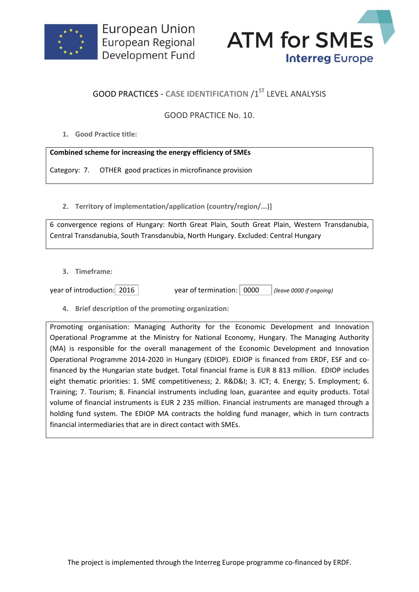



## **GOOD PRACTICES - CASE IDENTIFICATION /1ST LEVEL ANALYSIS**

## GOOD PRACTICE No. 10.

**1. Good Practice title:**

## **Combined scheme for increasing the energy efficiency of SMEs**

Category: 7. OTHER good practices in microfinance provision

**2. Territory of implementation/application (country/region/...)]**

6 convergence regions of Hungary: North Great Plain, South Great Plain, Western Transdanubia, Central Transdanubia, South Transdanubia, North Hungary. Excluded: Central Hungary

**3. Timeframe:**

year of introduction: 2016 year of termination: 0000 *(leave 0000 if ongoing)*

**4. Brief description of the promoting organization:**

Promoting organisation: Managing Authority for the Economic Development and Innovation Operational Programme at the Ministry for National Economy, Hungary. The Managing Authority (MA) is responsible for the overall management of the Economic Development and Innovation Operational Programme 2014-2020 in Hungary (EDIOP). EDIOP is financed from ERDF, ESF and cofinanced by the Hungarian state budget. Total financial frame is EUR 8 813 million. EDIOP includes eight thematic priorities: 1. SME competitiveness; 2. R&D&I; 3. ICT; 4. Energy; 5. Employment; 6. Training; 7. Tourism; 8. Financial instruments including loan, guarantee and equity products. Total volume of financial instruments is EUR 2 235 million. Financial instruments are managed through a holding fund system. The EDIOP MA contracts the holding fund manager, which in turn contracts financial intermediaries that are in direct contact with SMEs.